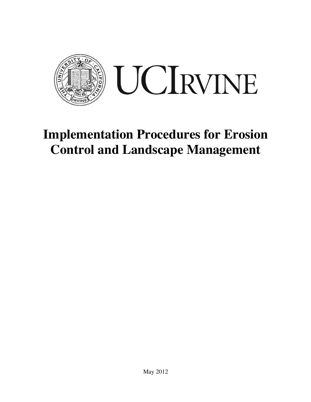

# **Implementation Procedures for Erosion Control and Landscape Management**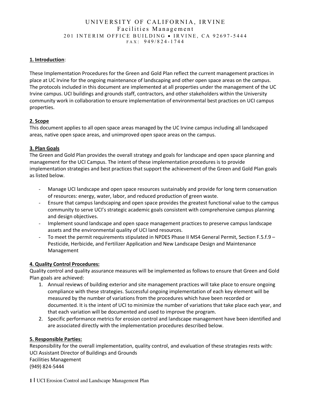# UNIVERSITY OF CALIFO RNIA, IRVINE Facilities Management 201 INTERIM OFFICE BUILDING • IRVINE, CA 92697-5444 FAX : 949/824 - 1744

# **1. Introduction**:

These Implementation Procedures for the Green and Gold Plan reflect the current management practices in place at UC Irvine for the ongoing maintenance of landscaping and other open space areas on the campus. The protocols included in this document are implemented at all properties under the management of the UC Irvine campus. UCI buildings and grounds staff, contractors, and other stakeholders within the University community work in collaboration to ensure implementation of environmental best practices on UCI campus properties.

# **2. Scope**

This document applies to all open space areas managed by the UC Irvine campus including all landscaped areas, native open space areas, and unimproved open space areas on the campus.

# **3. Plan Goals**

The Green and Gold Plan provides the overall strategy and goals for landscape and open space planning and management for the UCI Campus. The intent of these implementation procedures is to provide implementation strategies and best practices that support the achievement of the Green and Gold Plan goals as listed below.

- Manage UCI landscape and open space resources sustainably and provide for long term conservation of resources: energy, water, labor, and reduced production of green waste.
- Ensure that campus landscaping and open space provides the greatest functional value to the campus community to serve UCI's strategic academic goals consistent with comprehensive campus planning and design objectives.
- Implement sound landscape and open space management practices to preserve campus landscape assets and the environmental quality of UCI land resources.
- To meet the permit requirements stipulated in NPDES Phase II MS4 General Permit, Section F.5.f.9 -Pesticide, Herbicide, and Fertilizer Application and New Landscape Design and Maintenance Management

# **4. Quality Control Procedures:**

Quality control and quality assurance measures will be implemented as follows to ensure that Green and Gold Plan goals are achieved:

- 1. Annual reviews of building exterior and site management practices will take place to ensure ongoing compliance with these strategies. Successful ongoing implementation of each key element will be measured by the number of variations from the procedures which have been recorded or documented. It is the intent of UCI to minimize the number of variations that take place each year, and that each variation will be documented and used to improve the program.
- 2. Specific performance metrics for erosion control and landscape management have been identified and are associated directly with the implementation procedures described below.

# **5. Responsible Parties:**

Responsibility for the overall implementation, quality control, and evaluation of these strategies rests with: UCI Assistant Director of Buildings and Grounds Facilities Management (949) 824-5444

**1 |** UCI Erosion Control and Landscape Management Plan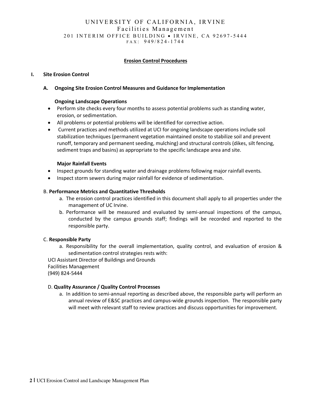# UNIVERSITY OF CALIFO RNIA, IRVINE Facilities Management 201 INTERIM OFFICE BUILDING • IRVINE, CA 92697-5444 FAX : 949/824 - 1744

# **Erosion Control Procedures**

#### **I. Site Erosion Control**

### **A. Ongoing Site Erosion Control Measures and Guidance for Implementation**

#### **Ongoing Landscape Operations**

- Perform site checks every four months to assess potential problems such as standing water, erosion, or sedimentation.
- All problems or potential problems will be identified for corrective action.
- Current practices and methods utilized at UCI for ongoing landscape operations include soil stabilization techniques (permanent vegetation maintained onsite to stabilize soil and prevent runoff, temporary and permanent seeding, mulching) and structural controls (dikes, silt fencing, sediment traps and basins) as appropriate to the specific landscape area and site.

#### **Major Rainfall Events**

- Inspect grounds for standing water and drainage problems following major rainfall events.
- Inspect storm sewers during major rainfall for evidence of sedimentation.

#### B. **Performance Metrics and Quantitative Thresholds**

- a. The erosion control practices identified in this document shall apply to all properties under the management of UC Irvine.
- b. Performance will be measured and evaluated by semi-annual inspections of the campus, conducted by the campus grounds staff; findings will be recorded and reported to the responsible party.

#### C. **Responsible Party**

a. Responsibility for the overall implementation, quality control, and evaluation of erosion & sedimentation control strategies rests with:

UCI Assistant Director of Buildings and Grounds

Facilities Management

(949) 824-5444

# D. **Quality Assurance / Quality Control Processes**

a. In addition to semi-annual reporting as described above, the responsible party will perform an annual review of E&SC practices and campus-wide grounds inspection. The responsible party will meet with relevant staff to review practices and discuss opportunities for improvement.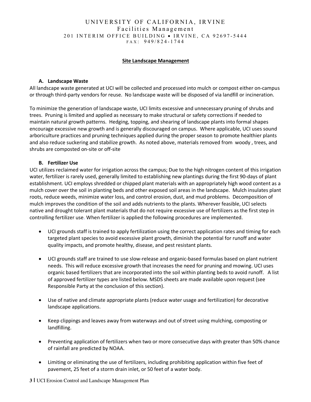# UNIVERSITY OF CALIFO RNIA, IRVINE Facilities Management 201 INTERIM OFFICE BUILDING • IRVINE, CA 92697-5444 FAX : 949/824 - 1744

### **Site Landscape Management**

#### **A. Landscape Waste**

All landscape waste generated at UCI will be collected and processed into mulch or compost either on-campus or through third-party vendors for reuse. No landscape waste will be disposed of via landfill or incineration.

To minimize the generation of landscape waste, UCI limits excessive and unnecessary pruning of shrubs and trees. Pruning is limited and applied as necessary to make structural or safety corrections if needed to maintain natural growth patterns. Hedging, topping, and shearing of landscape plants into formal shapes encourage excessive new growth and is generally discouraged on campus. Where applicable, UCI uses sound arboriculture practices and pruning techniques applied during the proper season to promote healthier plants and also reduce suckering and stabilize growth. As noted above, materials removed from woody , trees, and shrubs are composted on-site or off-site

# **B. Fertilizer Use**

UCI utilizes reclaimed water for irrigation across the campus; Due to the high nitrogen content of this irrigation water, fertilizer is rarely used, generally limited to establishing new plantings during the first 90-days of plant establishment. UCI employs shredded or chipped plant materials with an appropriately high wood content as a mulch cover over the soil in planting beds and other exposed soil areas in the landscape. Mulch insulates plant roots, reduce weeds, minimize water loss, and control erosion, dust, and mud problems. Decomposition of mulch improves the condition of the soil and adds nutrients to the plants. Wherever feasible, UCI selects native and drought tolerant plant materials that do not require excessive use of fertilizers as the first step in controlling fertilizer use. When fertilizer is applied the following procedures are implemented.

- UCI grounds staff is trained to apply fertilization using the correct application rates and timing for each targeted plant species to avoid excessive plant growth, diminish the potential for runoff and water quality impacts, and promote healthy, disease, and pest resistant plants.
- UCI grounds staff are trained to use slow-release and organic-based formulas based on plant nutrient needs. This will reduce excessive growth that increases the need for pruning and mowing. UCI uses organic based fertilizers that are incorporated into the soil within planting beds to avoid runoff. A list of approved fertilizer types are listed below. MSDS sheets are made available upon request (see Responsible Party at the conclusion of this section).
- Use of native and climate appropriate plants (reduce water usage and fertilization) for decorative landscape applications.
- Keep clippings and leaves away from waterways and out of street using mulching, composting or landfilling.
- Preventing application of fertilizers when two or more consecutive days with greater than 50% chance of rainfall are predicted by NOAA.
- Limiting or eliminating the use of fertilizers, including prohibiting application within five feet of pavement, 25 feet of a storm drain inlet, or 50 feet of a water body.